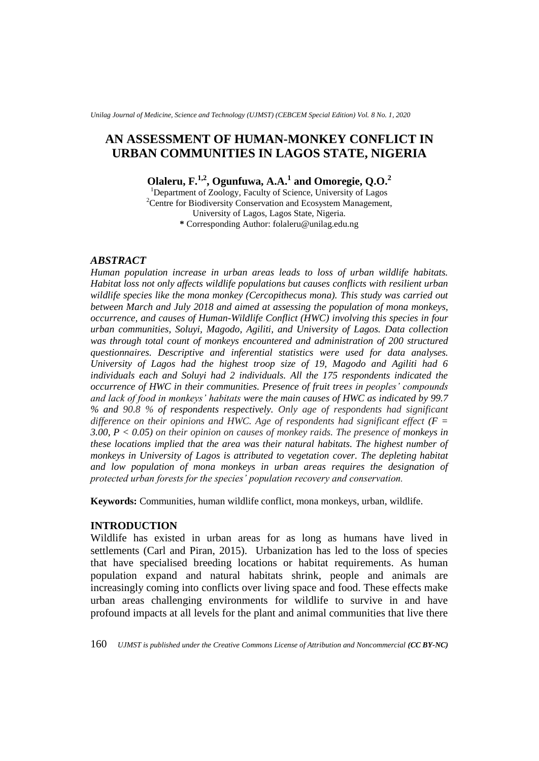# **AN ASSESSMENT OF HUMAN-MONKEY CONFLICT IN URBAN COMMUNITIES IN LAGOS STATE, NIGERIA**

**Olaleru, F.1,2, Ogunfuwa, A.A.<sup>1</sup> and Omoregie, Q.O.<sup>2</sup>**

<sup>1</sup>Department of Zoology, Faculty of Science, University of Lagos <sup>2</sup>Centre for Biodiversity Conservation and Ecosystem Management, University of Lagos, Lagos State, Nigeria. **\*** Corresponding Author: folaleru@unilag.edu.ng

# *ABSTRACT*

*Human population increase in urban areas leads to loss of urban wildlife habitats. Habitat loss not only affects wildlife populations but causes conflicts with resilient urban wildlife species like the mona monkey (Cercopithecus mona). This study was carried out between March and July 2018 and aimed at assessing the population of mona monkeys, occurrence, and causes of Human-Wildlife Conflict (HWC) involving this species in four urban communities, Soluyi, Magodo, Agiliti, and University of Lagos. Data collection was through total count of monkeys encountered and administration of 200 structured questionnaires. Descriptive and inferential statistics were used for data analyses. University of Lagos had the highest troop size of 19, Magodo and Agiliti had 6 individuals each and Soluyi had 2 individuals. All the 175 respondents indicated the occurrence of HWC in their communities. Presence of fruit trees in peoples' compounds and lack of food in monkeys' habitats were the main causes of HWC as indicated by 99.7 % and 90.8 % of respondents respectively. Only age of respondents had significant difference on their opinions and HWC. Age of respondents had significant effect (F = 3.00, P < 0.05) on their opinion on causes of monkey raids. The presence of monkeys in these locations implied that the area was their natural habitats. The highest number of monkeys in University of Lagos is attributed to vegetation cover. The depleting habitat*  and low population of mona monkeys in urban areas requires the designation of *protected urban forests for the species' population recovery and conservation.* 

**Keywords:** Communities, human wildlife conflict, mona monkeys, urban, wildlife.

#### **INTRODUCTION**

Wildlife has existed in urban areas for as long as humans have lived in settlements (Carl and Piran, 2015). Urbanization has led to the loss of species that have specialised breeding locations or habitat requirements. As human population expand and natural habitats shrink, people and animals are increasingly coming into conflicts over living space and food. These effects make urban areas challenging environments for wildlife to survive in and have profound impacts at all levels for the plant and animal communities that live there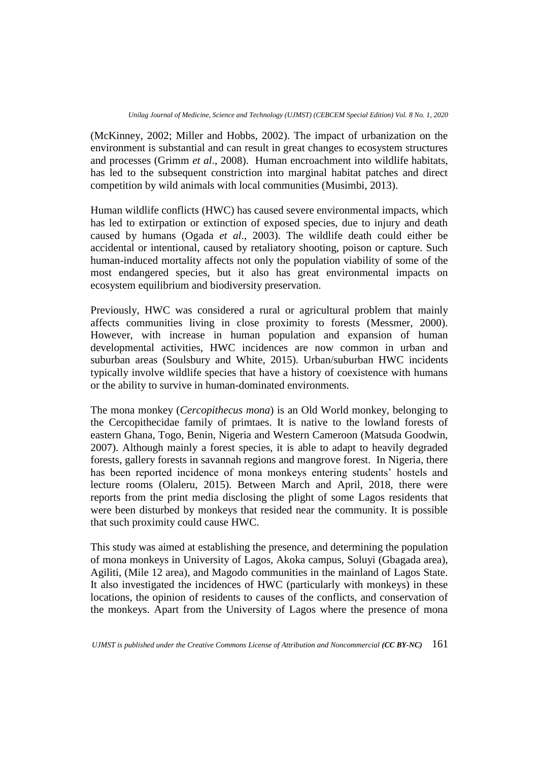(McKinney, 2002; Miller and Hobbs, 2002). The impact of urbanization on the environment is substantial and can result in great changes to ecosystem structures and processes (Grimm *et al*., 2008). Human encroachment into wildlife habitats, has led to the subsequent constriction into marginal habitat patches and direct competition by wild animals with local communities (Musimbi, 2013).

Human wildlife conflicts (HWC) has caused severe environmental impacts, which has led to extirpation or extinction of exposed species, due to injury and death caused by humans (Ogada *et al*., 2003). The wildlife death could either be accidental or intentional, caused by retaliatory shooting, poison or capture. Such human-induced mortality affects not only the population viability of some of the most endangered species, but it also has great environmental impacts on ecosystem equilibrium and biodiversity preservation.

Previously, HWC was considered a rural or agricultural problem that mainly affects communities living in close proximity to forests (Messmer, 2000). However, with increase in human population and expansion of human developmental activities, HWC incidences are now common in urban and suburban areas (Soulsbury and White, 2015). Urban/suburban HWC incidents typically involve wildlife species that have a history of coexistence with humans or the ability to survive in human-dominated environments.

The mona monkey (*Cercopithecus mona*) is an Old World monkey, belonging to the Cercopithecidae family of primtaes. It is native to the lowland forests of eastern Ghana, Togo, Benin, Nigeria and Western Cameroon (Matsuda Goodwin, 2007). Although mainly a forest species, it is able to adapt to heavily degraded forests, gallery forests in savannah regions and mangrove forest. In Nigeria, there has been reported incidence of mona monkeys entering students' hostels and lecture rooms (Olaleru, 2015). Between March and April, 2018, there were reports from the print media disclosing the plight of some Lagos residents that were been disturbed by monkeys that resided near the community. It is possible that such proximity could cause HWC.

This study was aimed at establishing the presence, and determining the population of mona monkeys in University of Lagos, Akoka campus, Soluyi (Gbagada area), Agiliti, (Mile 12 area), and Magodo communities in the mainland of Lagos State. It also investigated the incidences of HWC (particularly with monkeys) in these locations, the opinion of residents to causes of the conflicts, and conservation of the monkeys. Apart from the University of Lagos where the presence of mona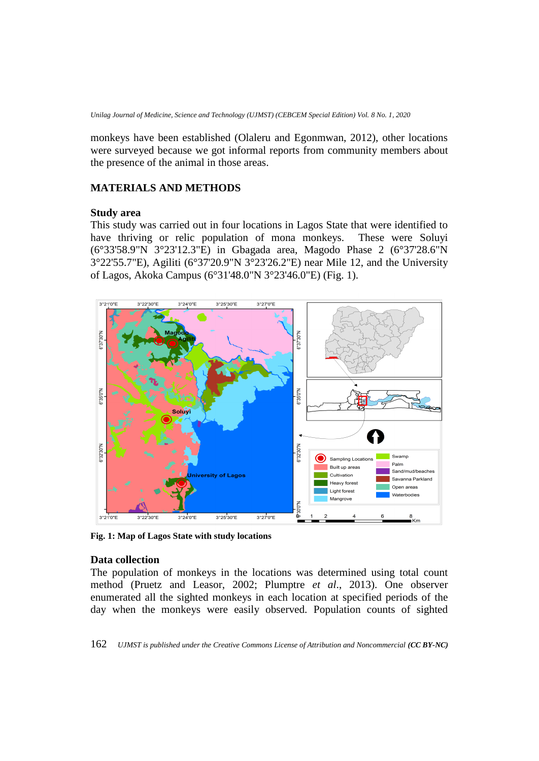monkeys have been established (Olaleru and Egonmwan, 2012), other locations were surveyed because we got informal reports from community members about the presence of the animal in those areas.

# **MATERIALS AND METHODS**

# **Study area**

This study was carried out in four locations in Lagos State that were identified to have thriving or relic population of mona monkeys. These were Soluyi (6°33'58.9"N 3°23'12.3"E) in Gbagada area, Magodo Phase 2 (6°37'28.6"N 3°22'55.7"E), Agiliti (6°37'20.9"N 3°23'26.2"E) near Mile 12, and the University of Lagos, Akoka Campus (6°31'48.0"N 3°23'46.0"E) (Fig. 1).



**Fig. 1: Map of Lagos State with study locations**

# **Data collection**

The population of monkeys in the locations was determined using total count method (Pruetz and Leasor, 2002; Plumptre *et al*., 2013). One observer enumerated all the sighted monkeys in each location at specified periods of the day when the monkeys were easily observed. Population counts of sighted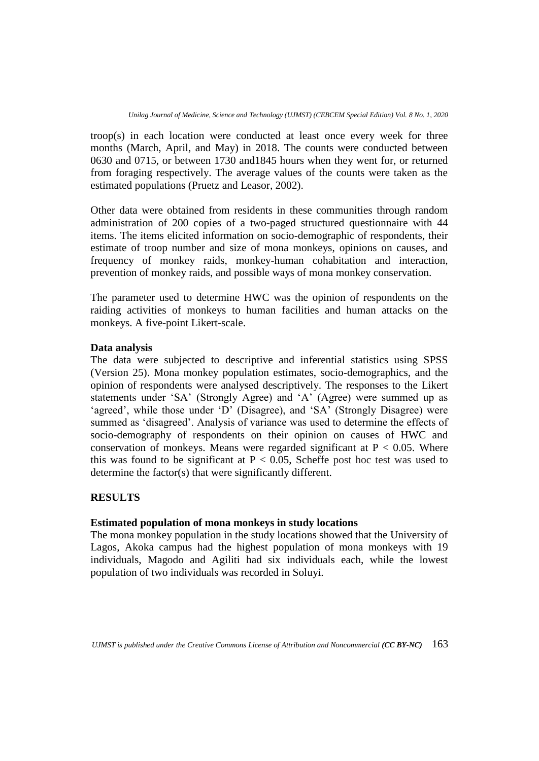troop(s) in each location were conducted at least once every week for three months (March, April, and May) in 2018. The counts were conducted between 0630 and 0715, or between 1730 and1845 hours when they went for, or returned from foraging respectively. The average values of the counts were taken as the estimated populations (Pruetz and Leasor, 2002).

Other data were obtained from residents in these communities through random administration of 200 copies of a two-paged structured questionnaire with 44 items. The items elicited information on socio-demographic of respondents, their estimate of troop number and size of mona monkeys, opinions on causes, and frequency of monkey raids, monkey-human cohabitation and interaction, prevention of monkey raids, and possible ways of mona monkey conservation.

The parameter used to determine HWC was the opinion of respondents on the raiding activities of monkeys to human facilities and human attacks on the monkeys. A five-point Likert-scale.

# **Data analysis**

The data were subjected to descriptive and inferential statistics using SPSS (Version 25). Mona monkey population estimates, socio-demographics, and the opinion of respondents were analysed descriptively. The responses to the Likert statements under 'SA' (Strongly Agree) and 'A' (Agree) were summed up as 'agreed', while those under 'D' (Disagree), and 'SA' (Strongly Disagree) were summed as 'disagreed'. Analysis of variance was used to determine the effects of socio-demography of respondents on their opinion on causes of HWC and conservation of monkeys. Means were regarded significant at  $P < 0.05$ . Where this was found to be significant at  $P < 0.05$ , Scheffe post hoc test was used to determine the factor(s) that were significantly different.

# **RESULTS**

# **Estimated population of mona monkeys in study locations**

The mona monkey population in the study locations showed that the University of Lagos, Akoka campus had the highest population of mona monkeys with 19 individuals, Magodo and Agiliti had six individuals each, while the lowest population of two individuals was recorded in Soluyi.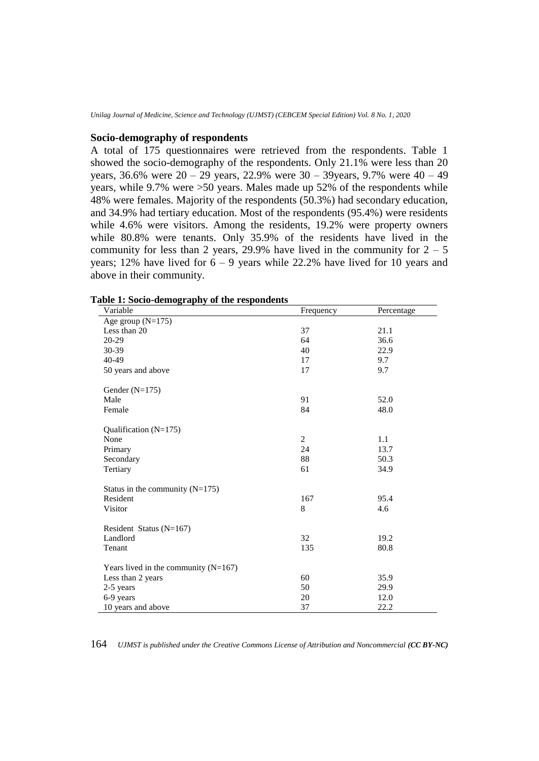# **Socio-demography of respondents**

A total of 175 questionnaires were retrieved from the respondents. Table 1 showed the socio-demography of the respondents. Only 21.1% were less than 20 years, 36.6% were 20 – 29 years, 22.9% were 30 – 39years, 9.7% were 40 – 49 years, while 9.7% were >50 years. Males made up 52% of the respondents while 48% were females. Majority of the respondents (50.3%) had secondary education, and 34.9% had tertiary education. Most of the respondents (95.4%) were residents while 4.6% were visitors. Among the residents, 19.2% were property owners while 80.8% were tenants. Only 35.9% of the residents have lived in the community for less than 2 years, 29.9% have lived in the community for  $2 - 5$ years; 12% have lived for  $6 - 9$  years while 22.2% have lived for 10 years and above in their community.

| Variable                               | Frequency      | Percentage |
|----------------------------------------|----------------|------------|
| Age group $(N=175)$                    |                |            |
| Less than 20                           | 37             | 21.1       |
| 20-29                                  | 64             | 36.6       |
| 30-39                                  | 40             | 22.9       |
| 40-49                                  | 17             | 9.7        |
| 50 years and above                     | 17             | 9.7        |
| Gender $(N=175)$                       |                |            |
| Male                                   | 91             | 52.0       |
| Female                                 | 84             | 48.0       |
| Qualification $(N=175)$                |                |            |
| None                                   | $\overline{2}$ | 1.1        |
| Primary                                | 24             | 13.7       |
| Secondary                              | 88             | 50.3       |
| Tertiary                               | 61             | 34.9       |
| Status in the community $(N=175)$      |                |            |
| Resident                               | 167            | 95.4       |
| Visitor                                | 8              | 4.6        |
| Resident Status (N=167)                |                |            |
| Landlord                               | 32             | 19.2       |
| Tenant                                 | 135            | 80.8       |
| Years lived in the community $(N=167)$ |                |            |
| Less than 2 years                      | 60             | 35.9       |
| 2-5 years                              | 50             | 29.9       |
| 6-9 years                              | 20             | 12.0       |
| 10 years and above                     | 37             | 22.2       |

#### **Table 1: Socio-demography of the respondents**

164 *UJMST* is published under the Creative Commons License of Attribution and Noncommercial (CC BY-NC)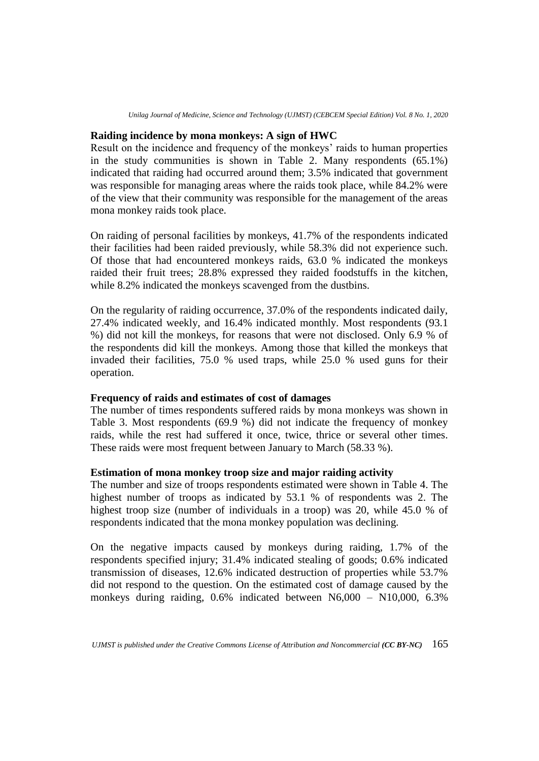### **Raiding incidence by mona monkeys: A sign of HWC**

Result on the incidence and frequency of the monkeys' raids to human properties in the study communities is shown in Table 2. Many respondents (65.1%) indicated that raiding had occurred around them; 3.5% indicated that government was responsible for managing areas where the raids took place, while 84.2% were of the view that their community was responsible for the management of the areas mona monkey raids took place.

On raiding of personal facilities by monkeys, 41.7% of the respondents indicated their facilities had been raided previously, while 58.3% did not experience such. Of those that had encountered monkeys raids, 63.0 % indicated the monkeys raided their fruit trees; 28.8% expressed they raided foodstuffs in the kitchen, while 8.2% indicated the monkeys scavenged from the dustbins.

On the regularity of raiding occurrence, 37.0% of the respondents indicated daily, 27.4% indicated weekly, and 16.4% indicated monthly. Most respondents (93.1 %) did not kill the monkeys, for reasons that were not disclosed. Only 6.9 % of the respondents did kill the monkeys. Among those that killed the monkeys that invaded their facilities, 75.0 % used traps, while 25.0 % used guns for their operation.

#### **Frequency of raids and estimates of cost of damages**

The number of times respondents suffered raids by mona monkeys was shown in Table 3. Most respondents (69.9 %) did not indicate the frequency of monkey raids, while the rest had suffered it once, twice, thrice or several other times. These raids were most frequent between January to March (58.33 %).

#### **Estimation of mona monkey troop size and major raiding activity**

The number and size of troops respondents estimated were shown in Table 4. The highest number of troops as indicated by 53.1 % of respondents was 2. The highest troop size (number of individuals in a troop) was 20, while 45.0 % of respondents indicated that the mona monkey population was declining.

On the negative impacts caused by monkeys during raiding, 1.7% of the respondents specified injury; 31.4% indicated stealing of goods; 0.6% indicated transmission of diseases, 12.6% indicated destruction of properties while 53.7% did not respond to the question. On the estimated cost of damage caused by the monkeys during raiding, 0.6% indicated between N6,000 – N10,000, 6.3%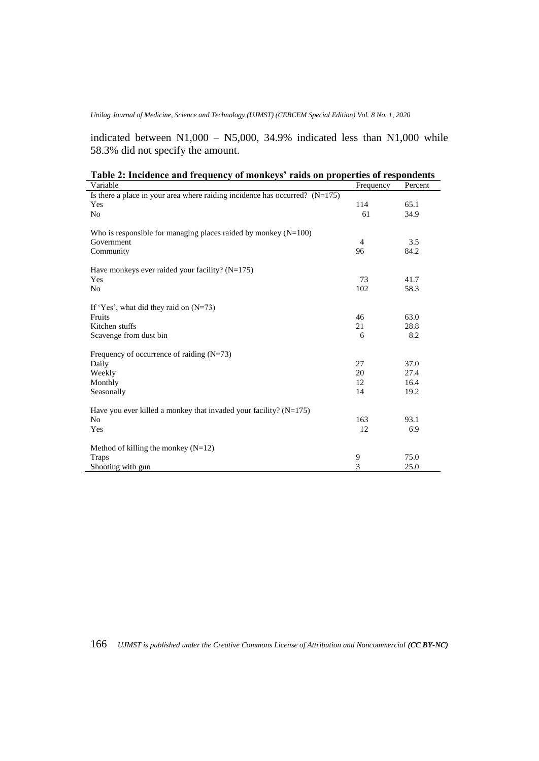indicated between  $N1,000 - N5,000, 34.9%$  indicated less than  $N1,000$  while 58.3% did not specify the amount.

| Lable 2: Incidence and frequency of monkeys' raids on properties of respondents |                |         |  |  |  |  |  |
|---------------------------------------------------------------------------------|----------------|---------|--|--|--|--|--|
| Variable                                                                        | Frequency      | Percent |  |  |  |  |  |
| Is there a place in your area where raiding incidence has occurred? $(N=175)$   |                |         |  |  |  |  |  |
| Yes                                                                             | 114            | 65.1    |  |  |  |  |  |
| N <sub>0</sub>                                                                  | 61             | 34.9    |  |  |  |  |  |
|                                                                                 |                |         |  |  |  |  |  |
| Who is responsible for managing places raided by monkey $(N=100)$               |                |         |  |  |  |  |  |
| Government                                                                      | $\overline{4}$ | 3.5     |  |  |  |  |  |
| Community                                                                       | 96             | 84.2    |  |  |  |  |  |
|                                                                                 |                |         |  |  |  |  |  |
| Have monkeys ever raided your facility? $(N=175)$                               |                |         |  |  |  |  |  |
| Yes                                                                             | 73             | 41.7    |  |  |  |  |  |
| N <sub>0</sub>                                                                  | 102            | 58.3    |  |  |  |  |  |
|                                                                                 |                |         |  |  |  |  |  |
| If 'Yes', what did they raid on $(N=73)$                                        |                |         |  |  |  |  |  |
| Fruits                                                                          | 46             | 63.0    |  |  |  |  |  |
| Kitchen stuffs                                                                  | 21             | 28.8    |  |  |  |  |  |
| Scavenge from dust bin                                                          | 6              | 8.2     |  |  |  |  |  |
|                                                                                 |                |         |  |  |  |  |  |
| Frequency of occurrence of raiding $(N=73)$                                     |                |         |  |  |  |  |  |
| Daily                                                                           | 27             | 37.0    |  |  |  |  |  |
| Weekly                                                                          | 20             | 27.4    |  |  |  |  |  |
| Monthly                                                                         | 12             | 16.4    |  |  |  |  |  |
| Seasonally                                                                      | 14             | 19.2    |  |  |  |  |  |
|                                                                                 |                |         |  |  |  |  |  |
| Have you ever killed a monkey that invaded your facility? $(N=175)$             |                |         |  |  |  |  |  |
| N <sub>o</sub>                                                                  | 163            | 93.1    |  |  |  |  |  |
| Yes                                                                             | 12             | 6.9     |  |  |  |  |  |
|                                                                                 |                |         |  |  |  |  |  |
| Method of killing the monkey $(N=12)$                                           |                |         |  |  |  |  |  |
| <b>Traps</b>                                                                    | 9              | 75.0    |  |  |  |  |  |
| Shooting with gun                                                               | 3              | 25.0    |  |  |  |  |  |

**Table 2: Incidence and frequency of monkeys' raids on properties of respondents**

166 *UJMST* is published under the Creative Commons License of Attribution and Noncommercial (CC BY-NC)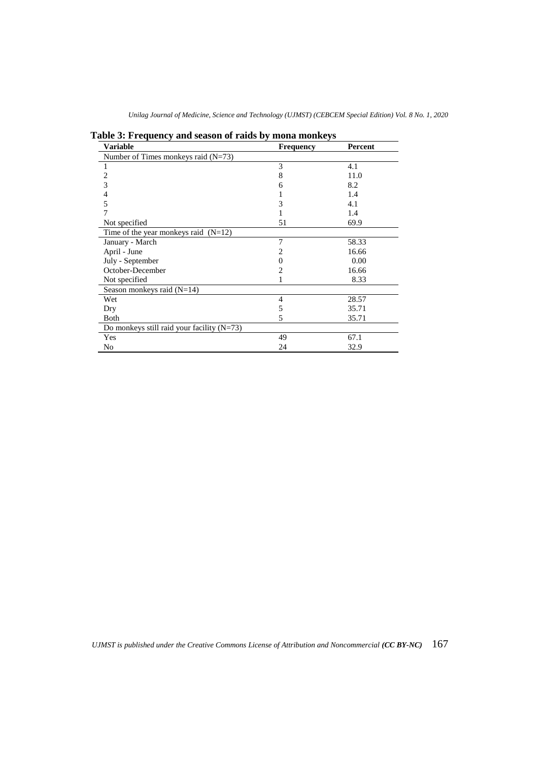| Variable                                     | <b>Frequency</b> | Percent |  |
|----------------------------------------------|------------------|---------|--|
| Number of Times monkeys raid $(N=73)$        |                  |         |  |
|                                              | 3                | 4.1     |  |
| 2                                            | 8                | 11.0    |  |
| 3                                            | 6                | 8.2     |  |
| 4                                            |                  | 1.4     |  |
| 5                                            | 3                | 4.1     |  |
| 7                                            |                  | 1.4     |  |
| Not specified                                | 51               | 69.9    |  |
| Time of the year monkeys raid $(N=12)$       |                  |         |  |
| January - March                              | 7                | 58.33   |  |
| April - June                                 | 2                | 16.66   |  |
| July - September                             | 0                | 0.00    |  |
| October-December                             | 2                | 16.66   |  |
| Not specified                                |                  | 8.33    |  |
| Season monkeys raid $(N=14)$                 |                  |         |  |
| Wet                                          | 4                | 28.57   |  |
| Dry                                          | 5                | 35.71   |  |
| Both                                         | 5                | 35.71   |  |
| Do monkeys still raid your facility $(N=73)$ |                  |         |  |
| Yes                                          | 49               | 67.1    |  |
| No                                           | 24               | 32.9    |  |

*Unilag Journal of Medicine, Science and Technology (UJMST) (CEBCEM Special Edition) Vol. 8 No. 1, 2020*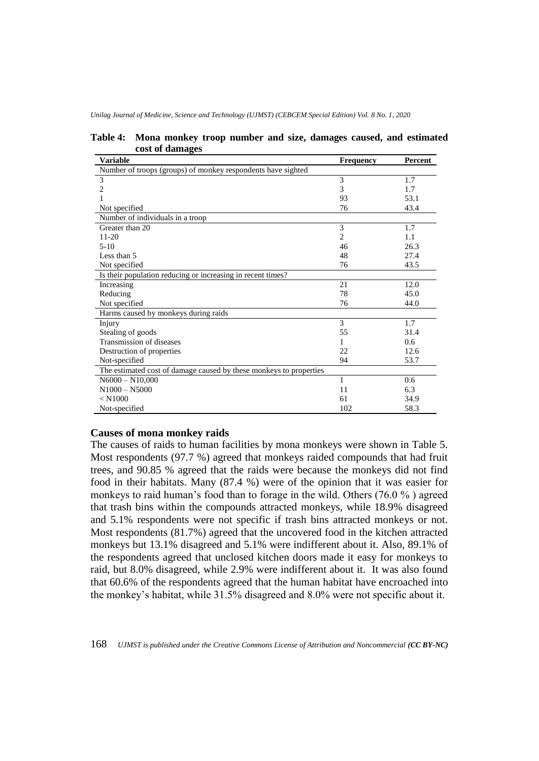| <b>Variable</b>                                                    | <b>Frequency</b> | Percent |
|--------------------------------------------------------------------|------------------|---------|
| Number of troops (groups) of monkey respondents have sighted       |                  |         |
| 3                                                                  | 3                | 1.7     |
| $\overline{2}$                                                     | 3                | 1.7     |
|                                                                    | 93               | 53.1    |
| Not specified                                                      | 76               | 43.4    |
| Number of individuals in a troop                                   |                  |         |
| Greater than 20                                                    | 3                | 1.7     |
| $11 - 20$                                                          | $\overline{2}$   | 1.1     |
| $5 - 10$                                                           | 46               | 26.3    |
| Less than 5                                                        | 48               | 27.4    |
| Not specified                                                      | 76               | 43.5    |
| Is their population reducing or increasing in recent times?        |                  |         |
| Increasing                                                         | 21               | 12.0    |
| Reducing                                                           | 78               | 45.0    |
| Not specified                                                      | 76               | 44.0    |
| Harms caused by monkeys during raids                               |                  |         |
| Injury                                                             | 3                | 1.7     |
| Stealing of goods                                                  | 55               | 31.4    |
| Transmission of diseases                                           | 1                | 0.6     |
| Destruction of properties                                          | 22               | 12.6    |
| Not-specified                                                      | 94               | 53.7    |
| The estimated cost of damage caused by these monkeys to properties |                  |         |
| $N6000 - N10,000$                                                  | 1                | 0.6     |
| $N1000 - N5000$                                                    | 11               | 6.3     |
| $<$ N1000                                                          | 61               | 34.9    |
| Not-specified                                                      | 102              | 58.3    |

**Table 4: Mona monkey troop number and size, damages caused, and estimated cost of damages**

# **Causes of mona monkey raids**

The causes of raids to human facilities by mona monkeys were shown in Table 5. Most respondents (97.7 %) agreed that monkeys raided compounds that had fruit trees, and 90.85 % agreed that the raids were because the monkeys did not find food in their habitats. Many (87.4 %) were of the opinion that it was easier for monkeys to raid human's food than to forage in the wild. Others (76.0 % ) agreed that trash bins within the compounds attracted monkeys, while 18.9% disagreed and 5.1% respondents were not specific if trash bins attracted monkeys or not. Most respondents (81.7%) agreed that the uncovered food in the kitchen attracted monkeys but 13.1% disagreed and 5.1% were indifferent about it. Also, 89.1% of the respondents agreed that unclosed kitchen doors made it easy for monkeys to raid, but 8.0% disagreed, while 2.9% were indifferent about it. It was also found that 60.6% of the respondents agreed that the human habitat have encroached into the monkey's habitat, while 31.5% disagreed and 8.0% were not specific about it.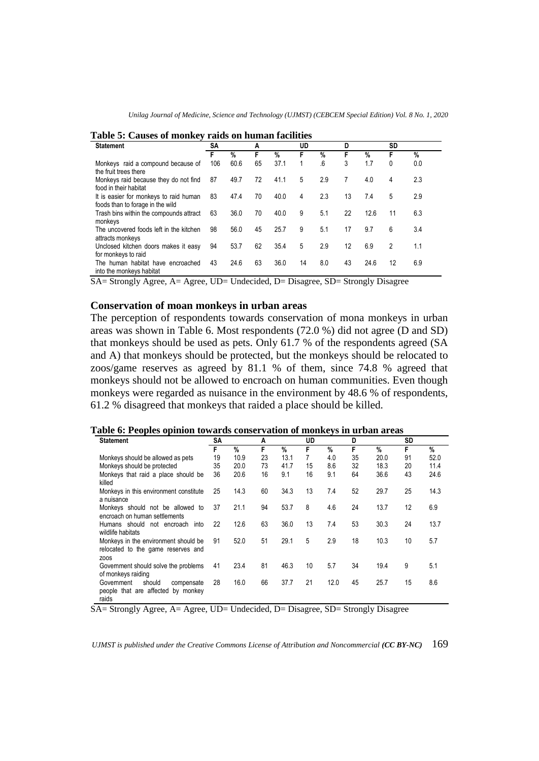| Unilag Journal of Medicine, Science and Technology (UJMST) (CEBCEM Special Edition) Vol. 8 No. 1, 2020 |  |  |
|--------------------------------------------------------------------------------------------------------|--|--|
|--------------------------------------------------------------------------------------------------------|--|--|

| <b>Statement</b>                                                           | SΑ  |      | А  |      | UD |     |    | D    |    | SD            |  |
|----------------------------------------------------------------------------|-----|------|----|------|----|-----|----|------|----|---------------|--|
|                                                                            | F   | %    | F  | $\%$ | F  | %   | F  | $\%$ | F  | $\frac{9}{6}$ |  |
| Monkeys raid a compound because of<br>the fruit trees there                | 106 | 60.6 | 65 | 37.1 |    | 6   | 3  | 1.7  | 0  | 0.0           |  |
| Monkeys raid because they do not find<br>food in their habitat             | 87  | 49.7 | 72 | 41.1 | 5  | 2.9 | 7  | 4.0  | 4  | 2.3           |  |
| It is easier for monkeys to raid human<br>foods than to forage in the wild | 83  | 47.4 | 70 | 40.0 | 4  | 2.3 | 13 | 7.4  | 5  | 2.9           |  |
| Trash bins within the compounds attract<br>monkeys                         | 63  | 36.0 | 70 | 40.0 | 9  | 5.1 | 22 | 12.6 | 11 | 6.3           |  |
| The uncovered foods left in the kitchen<br>attracts monkeys                | 98  | 56.0 | 45 | 25.7 | 9  | 5.1 | 17 | 9.7  | 6  | 3.4           |  |
| Unclosed kitchen doors makes it easy<br>for monkeys to raid                | 94  | 53.7 | 62 | 35.4 | 5  | 2.9 | 12 | 6.9  | 2  | 1.1           |  |
| The human habitat have encroached<br>into the monkeys habitat              | 43  | 24.6 | 63 | 36.0 | 14 | 8.0 | 43 | 24.6 | 12 | 6.9           |  |

**Table 5: Causes of monkey raids on human facilities**

SA= Strongly Agree, A= Agree, UD= Undecided, D= Disagree, SD= Strongly Disagree

#### **Conservation of moan monkeys in urban areas**

The perception of respondents towards conservation of mona monkeys in urban areas was shown in Table 6. Most respondents (72.0 %) did not agree (D and SD) that monkeys should be used as pets. Only 61.7 % of the respondents agreed (SA and A) that monkeys should be protected, but the monkeys should be relocated to zoos/game reserves as agreed by 81.1 % of them, since 74.8 % agreed that monkeys should not be allowed to encroach on human communities. Even though monkeys were regarded as nuisance in the environment by 48.6 % of respondents, 61.2 % disagreed that monkeys that raided a place should be killed.

#### **Table 6: Peoples opinion towards conservation of monkeys in urban areas**

| <b>Statement</b>                                                                   | SΑ |      | A  | UD   |    |      | D  |      | SD |      |
|------------------------------------------------------------------------------------|----|------|----|------|----|------|----|------|----|------|
|                                                                                    | F  | %    | F  | %    | F  | %    | F  | %    | F. | $\%$ |
| Monkeys should be allowed as pets                                                  | 19 | 10.9 | 23 | 13.1 | 7  | 4.0  | 35 | 20.0 | 91 | 52.0 |
| Monkeys should be protected                                                        | 35 | 20.0 | 73 | 41.7 | 15 | 8.6  | 32 | 18.3 | 20 | 11.4 |
| Monkeys that raid a place should be<br>killed                                      | 36 | 20.6 | 16 | 9.1  | 16 | 9.1  | 64 | 36.6 | 43 | 24.6 |
| Monkeys in this environment constitute<br>a nuisance                               | 25 | 14.3 | 60 | 34.3 | 13 | 7.4  | 52 | 29.7 | 25 | 14.3 |
| Monkeys should not be allowed to<br>encroach on human settlements                  | 37 | 21.1 | 94 | 53.7 | 8  | 4.6  | 24 | 13.7 | 12 | 6.9  |
| Humans should not encroach<br>into<br>wildlife habitats                            | 22 | 12.6 | 63 | 36.0 | 13 | 7.4  | 53 | 30.3 | 24 | 13.7 |
| Monkeys in the environment should be<br>relocated to the game reserves and<br>Z00S | 91 | 52.0 | 51 | 29.1 | 5  | 2.9  | 18 | 10.3 | 10 | 5.7  |
| Government should solve the problems<br>of monkeys raiding                         | 41 | 23.4 | 81 | 46.3 | 10 | 5.7  | 34 | 19.4 | 9  | 5.1  |
| should<br>Government<br>compensate<br>people that are affected by monkey<br>raids  | 28 | 16.0 | 66 | 37.7 | 21 | 12.0 | 45 | 25.7 | 15 | 8.6  |

SA= Strongly Agree, A= Agree, UD= Undecided, D= Disagree, SD= Strongly Disagree

*UJMST is published under the Creative Commons License of Attribution and Noncommercial (CC BY-NC)* 169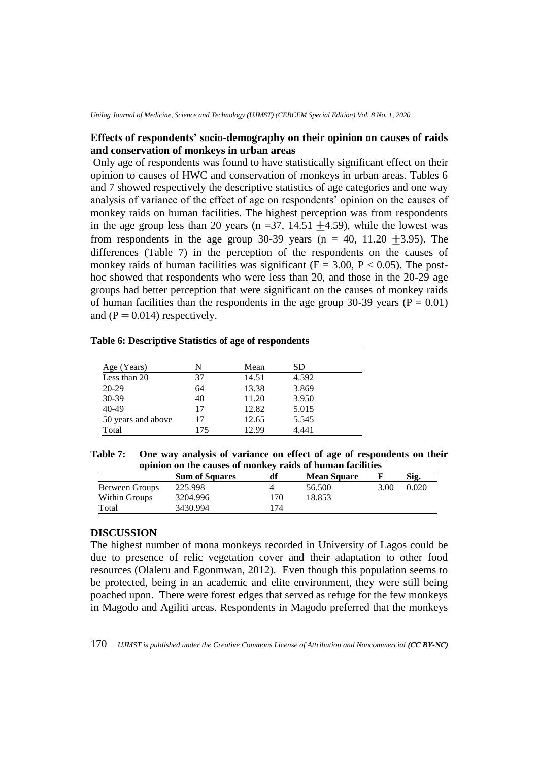# **Effects of respondents' socio-demography on their opinion on causes of raids and conservation of monkeys in urban areas**

Only age of respondents was found to have statistically significant effect on their opinion to causes of HWC and conservation of monkeys in urban areas. Tables 6 and 7 showed respectively the descriptive statistics of age categories and one way analysis of variance of the effect of age on respondents' opinion on the causes of monkey raids on human facilities. The highest perception was from respondents in the age group less than 20 years (n = 37, 14.51  $\pm$ 4.59), while the lowest was from respondents in the age group 30-39 years (n = 40, 11.20  $\pm$ 3.95). The differences (Table 7) in the perception of the respondents on the causes of monkey raids of human facilities was significant ( $F = 3.00$ ,  $P < 0.05$ ). The posthoc showed that respondents who were less than 20, and those in the 20-29 age groups had better perception that were significant on the causes of monkey raids of human facilities than the respondents in the age group 30-39 years ( $P = 0.01$ ) and  $(P = 0.014)$  respectively.

#### **Table 6: Descriptive Statistics of age of respondents**

| Age (Years)        | N   | Mean  | SD.   |  |
|--------------------|-----|-------|-------|--|
| Less than 20       | 37  | 14.51 | 4.592 |  |
| $20 - 29$          | 64  | 13.38 | 3.869 |  |
| $30-39$            | 40  | 11.20 | 3.950 |  |
| $40 - 49$          | 17  | 12.82 | 5.015 |  |
| 50 years and above | 17  | 12.65 | 5.545 |  |
| Total              | 175 | 12.99 | 4.441 |  |

| <b>Table 7:</b> | One way analysis of variance on effect of age of respondents on their |
|-----------------|-----------------------------------------------------------------------|
|                 | opinion on the causes of monkey raids of human facilities             |

|                       | <b>Sum of Squares</b> | df  | <b>Mean Square</b> |      | Sig.  |
|-----------------------|-----------------------|-----|--------------------|------|-------|
| <b>Between Groups</b> | 225.998               |     | 56.500             | 3.00 | 0.020 |
| Within Groups         | 3204.996              | 170 | 18.853             |      |       |
| Total                 | 3430.994              | 174 |                    |      |       |

# **DISCUSSION**

The highest number of mona monkeys recorded in University of Lagos could be due to presence of relic vegetation cover and their adaptation to other food resources (Olaleru and Egonmwan, 2012). Even though this population seems to be protected, being in an academic and elite environment, they were still being poached upon. There were forest edges that served as refuge for the few monkeys in Magodo and Agiliti areas. Respondents in Magodo preferred that the monkeys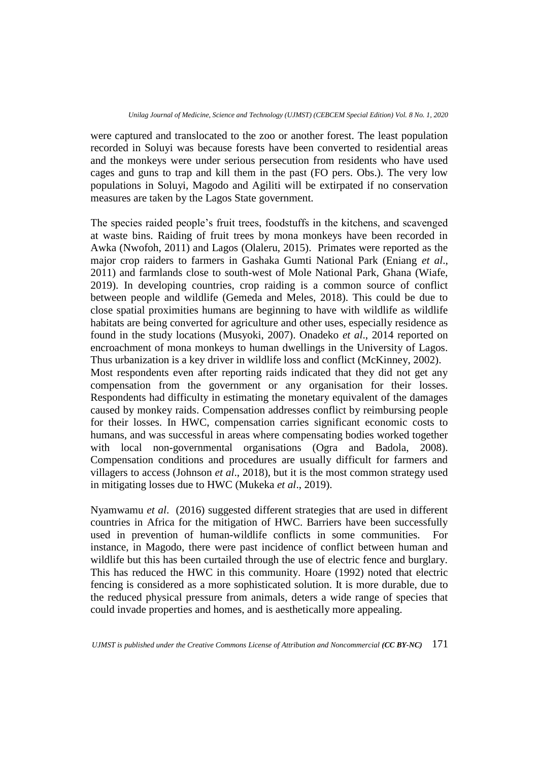were captured and translocated to the zoo or another forest. The least population recorded in Soluyi was because forests have been converted to residential areas and the monkeys were under serious persecution from residents who have used cages and guns to trap and kill them in the past (FO pers. Obs.). The very low populations in Soluyi, Magodo and Agiliti will be extirpated if no conservation measures are taken by the Lagos State government.

The species raided people's fruit trees, foodstuffs in the kitchens, and scavenged at waste bins. Raiding of fruit trees by mona monkeys have been recorded in Awka (Nwofoh, 2011) and Lagos (Olaleru, 2015). Primates were reported as the major crop raiders to farmers in Gashaka Gumti National Park (Eniang *et al*., 2011) and farmlands close to south-west of Mole National Park, Ghana (Wiafe, 2019). In developing countries, crop raiding is a common source of conflict between people and wildlife (Gemeda and Meles, 2018). This could be due to close spatial proximities humans are beginning to have with wildlife as wildlife habitats are being converted for agriculture and other uses, especially residence as found in the study locations (Musyoki, 2007). Onadeko *et al*., 2014 reported on encroachment of mona monkeys to human dwellings in the University of Lagos. Thus urbanization is a key driver in wildlife loss and conflict (McKinney, 2002). Most respondents even after reporting raids indicated that they did not get any compensation from the government or any organisation for their losses. Respondents had difficulty in estimating the monetary equivalent of the damages caused by monkey raids. Compensation addresses conflict by reimbursing people for their losses. In HWC, compensation carries significant economic costs to humans, and was successful in areas where compensating bodies worked together with local non-governmental organisations (Ogra and Badola, 2008). Compensation conditions and procedures are usually difficult for farmers and villagers to access (Johnson *et al*., 2018), but it is the most common strategy used in mitigating losses due to HWC (Mukeka *et al*., 2019).

Nyamwamu *et al*. (2016) suggested different strategies that are used in different countries in Africa for the mitigation of HWC. Barriers have been successfully used in prevention of human-wildlife conflicts in some communities. For instance, in Magodo, there were past incidence of conflict between human and wildlife but this has been curtailed through the use of electric fence and burglary. This has reduced the HWC in this community. Hoare (1992) noted that electric fencing is considered as a more sophisticated solution. It is more durable, due to the reduced physical pressure from animals, deters a wide range of species that could invade properties and homes, and is aesthetically more appealing.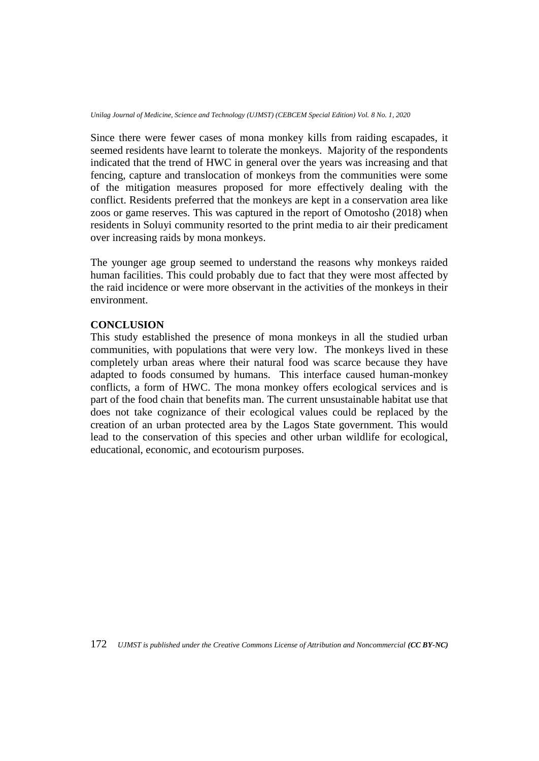Since there were fewer cases of mona monkey kills from raiding escapades, it seemed residents have learnt to tolerate the monkeys. Majority of the respondents indicated that the trend of HWC in general over the years was increasing and that fencing, capture and translocation of monkeys from the communities were some of the mitigation measures proposed for more effectively dealing with the conflict. Residents preferred that the monkeys are kept in a conservation area like zoos or game reserves. This was captured in the report of Omotosho (2018) when residents in Soluyi community resorted to the print media to air their predicament over increasing raids by mona monkeys.

The younger age group seemed to understand the reasons why monkeys raided human facilities. This could probably due to fact that they were most affected by the raid incidence or were more observant in the activities of the monkeys in their environment.

# **CONCLUSION**

This study established the presence of mona monkeys in all the studied urban communities, with populations that were very low. The monkeys lived in these completely urban areas where their natural food was scarce because they have adapted to foods consumed by humans. This interface caused human-monkey conflicts, a form of HWC. The mona monkey offers ecological services and is part of the food chain that benefits man. The current unsustainable habitat use that does not take cognizance of their ecological values could be replaced by the creation of an urban protected area by the Lagos State government. This would lead to the conservation of this species and other urban wildlife for ecological, educational, economic, and ecotourism purposes.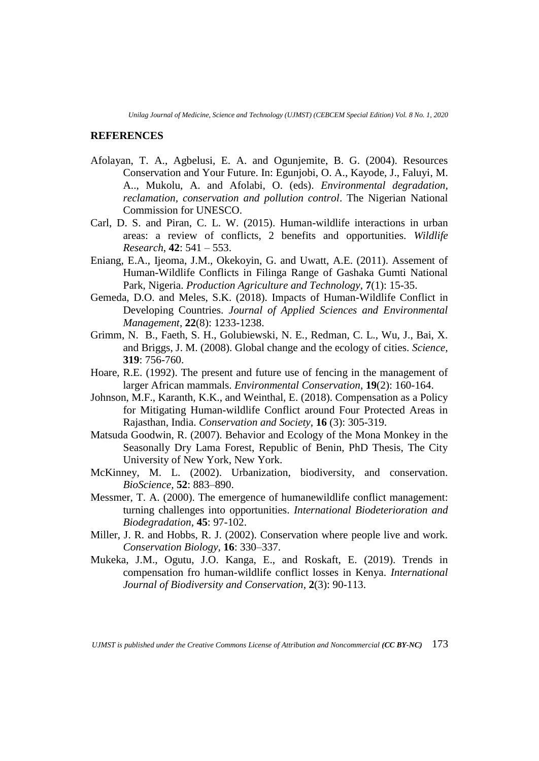# **REFERENCES**

- Afolayan, T. A., Agbelusi, E. A. and Ogunjemite, B. G. (2004). Resources Conservation and Your Future. In: Egunjobi, O. A., Kayode, J., Faluyi, M. A.., Mukolu, A. and Afolabi, O. (eds). *Environmental degradation, reclamation, conservation and pollution control*. The Nigerian National Commission for UNESCO.
- Carl, D. S. and Piran, C. L. W. (2015). Human-wildlife interactions in urban areas: a review of conflicts, 2 benefits and opportunities. *Wildlife Research*, **42**: 541 – 553.
- Eniang, E.A., Ijeoma, J.M., Okekoyin, G. and Uwatt, A.E. (2011). Assement of Human-Wildlife Conflicts in Filinga Range of Gashaka Gumti National Park, Nigeria. *Production Agriculture and Technology*, **7**(1): 15-35.
- Gemeda, D.O. and Meles, S.K. (2018). Impacts of Human-Wildlife Conflict in Developing Countries. *Journal of Applied Sciences and Environmental Management*, **22**(8): 1233-1238.
- Grimm, N. B., Faeth, S. H., Golubiewski, N. E., Redman, C. L., Wu, J., Bai, X. and Briggs, J. M. (2008). Global change and the ecology of cities. *Science,* **319**: 756-760.
- Hoare, R.E. (1992). The present and future use of fencing in the management of larger African mammals. *Environmental Conservation*, **19**(2): 160-164.
- Johnson, M.F., Karanth, K.K., and Weinthal, E. (2018). Compensation as a Policy for Mitigating Human-wildlife Conflict around Four Protected Areas in Rajasthan, India. *Conservation and Society*, **16** (3): 305-319.
- Matsuda Goodwin, R. (2007). Behavior and Ecology of the Mona Monkey in the Seasonally Dry Lama Forest, Republic of Benin, PhD Thesis, The City University of New York, New York.
- McKinney, M. L. (2002). Urbanization, biodiversity, and conservation. *BioScience,* **52**: 883–890.
- Messmer, T. A. (2000). The emergence of humanewildlife conflict management: turning challenges into opportunities. *International Biodeterioration and Biodegradation,* **45**: 97-102.
- Miller, J. R. and Hobbs, R. J. (2002). Conservation where people live and work. *Conservation Biology,* **16**: 330–337.
- Mukeka, J.M., Ogutu, J.O. Kanga, E., and Roskaft, E. (2019). Trends in compensation fro human-wildlife conflict losses in Kenya. *International Journal of Biodiversity and Conservation*, **2**(3): 90-113.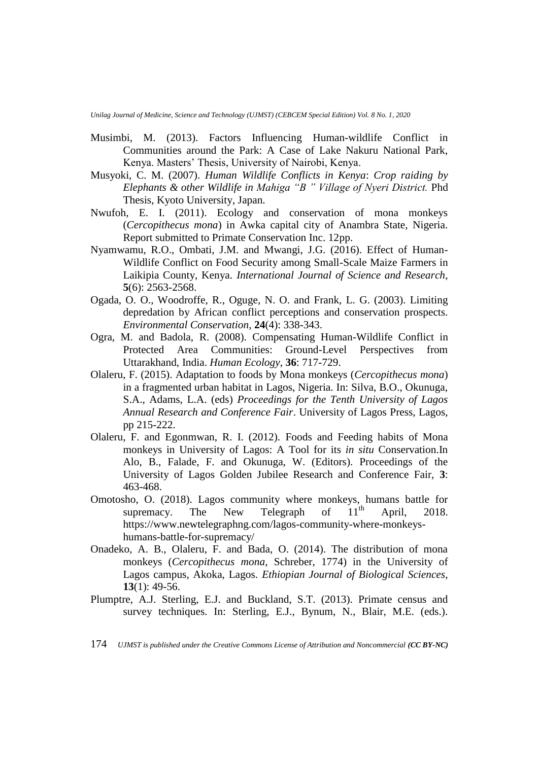- Musimbi, M. (2013). Factors Influencing Human-wildlife Conflict in Communities around the Park: A Case of Lake Nakuru National Park, Kenya. Masters' Thesis, University of Nairobi, Kenya.
- Musyoki, C. M. (2007). *Human Wildlife Conflicts in Kenya*: *Crop raiding by Elephants & other Wildlife in Mahiga "B " Village of Nyeri District.* Phd Thesis, Kyoto University, Japan.
- Nwufoh, E. I. (2011). Ecology and conservation of mona monkeys (*Cercopithecus mona*) in Awka capital city of Anambra State, Nigeria. Report submitted to Primate Conservation Inc. 12pp.
- Nyamwamu, R.O., Ombati, J.M. and Mwangi, J.G. (2016). Effect of Human-Wildlife Conflict on Food Security among Small-Scale Maize Farmers in Laikipia County, Kenya. *International Journal of Science and Research*, **5**(6): 2563-2568.
- Ogada, O. O., Woodroffe, R., Oguge, N. O. and Frank, L. G. (2003). Limiting depredation by African conflict perceptions and conservation prospects. *Environmental Conservation,* **24**(4): 338-343.
- Ogra, M. and Badola, R. (2008). Compensating Human-Wildlife Conflict in Protected Area Communities: Ground-Level Perspectives from Uttarakhand, India. *Human Ecology*, **36**: 717-729.
- Olaleru, F. (2015). Adaptation to foods by Mona monkeys (*Cercopithecus mona*) in a fragmented urban habitat in Lagos, Nigeria. In: Silva, B.O., Okunuga, S.A., Adams, L.A. (eds) *Proceedings for the Tenth University of Lagos Annual Research and Conference Fair*. University of Lagos Press, Lagos, pp 215-222.
- Olaleru, F. and Egonmwan, R. I. (2012). Foods and Feeding habits of Mona monkeys in University of Lagos: A Tool for its *in situ* Conservation.In Alo, B., Falade, F. and Okunuga, W. (Editors). Proceedings of the University of Lagos Golden Jubilee Research and Conference Fair, **3**: 463-468.
- Omotosho, O. (2018). Lagos community where monkeys, humans battle for supremacy. The New Telegraph of  $11<sup>th</sup>$  April. 2018. supremacy. The New Telegraph of  $11<sup>th</sup>$  April, 2018. https://www.newtelegraphng.com/lagos-community-where-monkeyshumans-battle-for-supremacy/
- Onadeko, A. B., Olaleru, F. and Bada, O. (2014). The distribution of mona monkeys (*Cercopithecus mona*, Schreber, 1774) in the University of Lagos campus, Akoka, Lagos. *Ethiopian Journal of Biological Sciences*, **13**(1): 49-56.
- Plumptre, A.J. Sterling, E.J. and Buckland, S.T. (2013). Primate census and survey techniques. In: Sterling, E.J., Bynum, N., Blair, M.E. (eds.).
- 174 *UJMST is published under the Creative Commons License of Attribution and Noncommercial (CC BY-NC)*